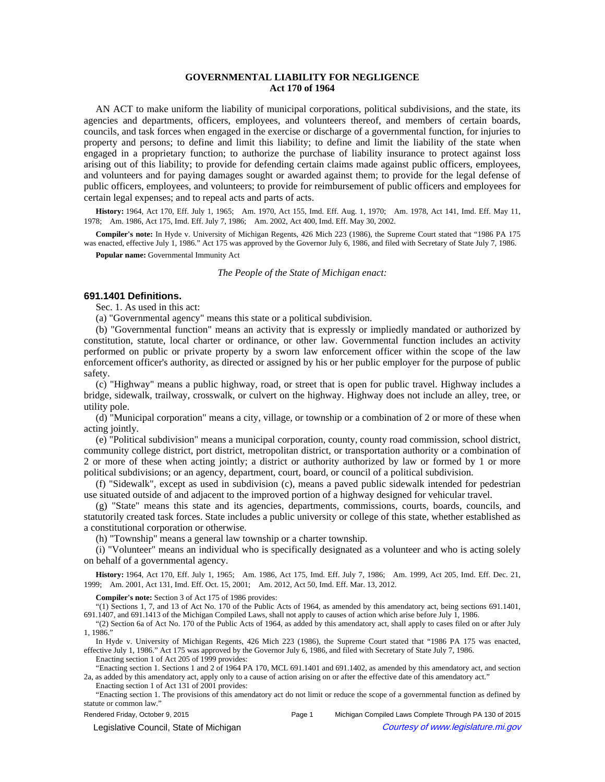# **GOVERNMENTAL LIABILITY FOR NEGLIGENCE Act 170 of 1964**

AN ACT to make uniform the liability of municipal corporations, political subdivisions, and the state, its agencies and departments, officers, employees, and volunteers thereof, and members of certain boards, councils, and task forces when engaged in the exercise or discharge of a governmental function, for injuries to property and persons; to define and limit this liability; to define and limit the liability of the state when engaged in a proprietary function; to authorize the purchase of liability insurance to protect against loss arising out of this liability; to provide for defending certain claims made against public officers, employees, and volunteers and for paying damages sought or awarded against them; to provide for the legal defense of public officers, employees, and volunteers; to provide for reimbursement of public officers and employees for certain legal expenses; and to repeal acts and parts of acts.

History: 1964, Act 170, Eff. July 1, 1965;—Am. 1970, Act 155, Imd. Eff. Aug. 1, 1970;—Am. 1978, Act 141, Imd. Eff. May 11, 1978; Am. 1986, Act 175, Imd. Eff. July 7, 1986; Am. 2002, Act 400, Imd. Eff. May 30, 2002.

**Compiler's note:** In Hyde v. University of Michigan Regents, 426 Mich 223 (1986), the Supreme Court stated that "1986 PA 175 was enacted, effective July 1, 1986." Act 175 was approved by the Governor July 6, 1986, and filed with Secretary of State July 7, 1986.

**Popular name:** Governmental Immunity Act

*The People of the State of Michigan enact:*

## **691.1401 Definitions.**

Sec. 1. As used in this act:

(a) "Governmental agency" means this state or a political subdivision.

(b) "Governmental function" means an activity that is expressly or impliedly mandated or authorized by constitution, statute, local charter or ordinance, or other law. Governmental function includes an activity performed on public or private property by a sworn law enforcement officer within the scope of the law enforcement officer's authority, as directed or assigned by his or her public employer for the purpose of public safety.

(c) "Highway" means a public highway, road, or street that is open for public travel. Highway includes a bridge, sidewalk, trailway, crosswalk, or culvert on the highway. Highway does not include an alley, tree, or utility pole.

(d) "Municipal corporation" means a city, village, or township or a combination of 2 or more of these when acting jointly.

(e) "Political subdivision" means a municipal corporation, county, county road commission, school district, community college district, port district, metropolitan district, or transportation authority or a combination of 2 or more of these when acting jointly; a district or authority authorized by law or formed by 1 or more political subdivisions; or an agency, department, court, board, or council of a political subdivision.

(f) "Sidewalk", except as used in subdivision (c), means a paved public sidewalk intended for pedestrian use situated outside of and adjacent to the improved portion of a highway designed for vehicular travel.

(g) "State" means this state and its agencies, departments, commissions, courts, boards, councils, and statutorily created task forces. State includes a public university or college of this state, whether established as a constitutional corporation or otherwise.

(h) "Township" means a general law township or a charter township.

(i) "Volunteer" means an individual who is specifically designated as a volunteer and who is acting solely on behalf of a governmental agency.

History: 1964, Act 170, Eff. July 1, 1965;--Am. 1986, Act 175, Imd. Eff. July 7, 1986;--Am. 1999, Act 205, Imd. Eff. Dec. 21, 1999;—Am. 2001, Act 131, Imd. Eff. Oct. 15, 2001;—Am. 2012, Act 50, Imd. Eff. Mar. 13, 2012.

**Compiler's note:** Section 3 of Act 175 of 1986 provides:

"(1) Sections 1, 7, and 13 of Act No. 170 of the Public Acts of 1964, as amended by this amendatory act, being sections 691.1401, 691.1407, and 691.1413 of the Michigan Compiled Laws, shall not apply to causes of action which arise before July 1, 1986.

"(2) Section 6a of Act No. 170 of the Public Acts of 1964, as added by this amendatory act, shall apply to cases filed on or after July 1, 1986."

In Hyde v. University of Michigan Regents, 426 Mich 223 (1986), the Supreme Court stated that "1986 PA 175 was enacted, effective July 1, 1986." Act 175 was approved by the Governor July 6, 1986, and filed with Secretary of State July 7, 1986.

Enacting section 1 of Act 205 of 1999 provides:

"Enacting section 1. Sections 1 and 2 of 1964 PA 170, MCL 691.1401 and 691.1402, as amended by this amendatory act, and section 2a, as added by this amendatory act, apply only to a cause of action arising on or after the effective date of this amendatory act." Enacting section 1 of Act 131 of 2001 provides:

"Enacting section 1. The provisions of this amendatory act do not limit or reduce the scope of a governmental function as defined by statute or common law."

Rendered Friday, October 9, 2015 Page 1 Michigan Compiled Laws Complete Through PA 130 of 2015

© Legislative Council, State of Michigan Council Courtesy of www.legislature.mi.gov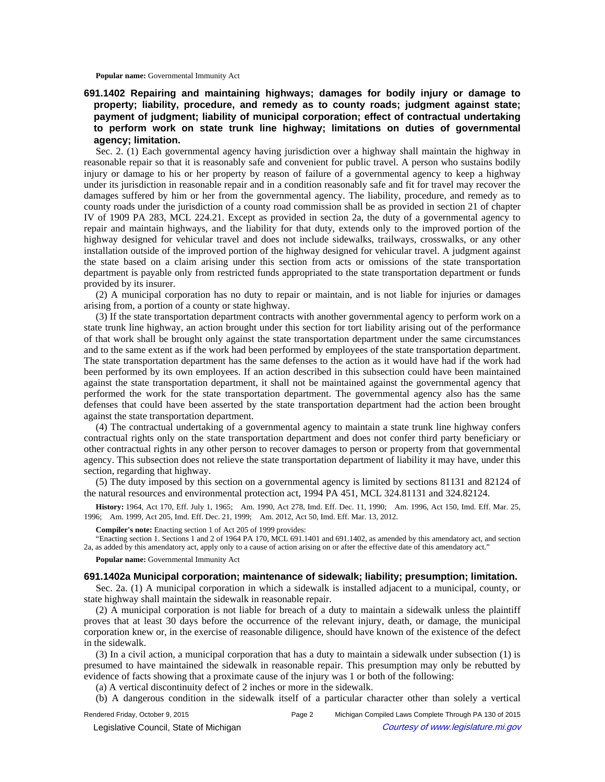**Popular name:** Governmental Immunity Act

**691.1402 Repairing and maintaining highways; damages for bodily injury or damage to property; liability, procedure, and remedy as to county roads; judgment against state; payment of judgment; liability of municipal corporation; effect of contractual undertaking to perform work on state trunk line highway; limitations on duties of governmental agency; limitation.**

Sec. 2. (1) Each governmental agency having jurisdiction over a highway shall maintain the highway in reasonable repair so that it is reasonably safe and convenient for public travel. A person who sustains bodily injury or damage to his or her property by reason of failure of a governmental agency to keep a highway under its jurisdiction in reasonable repair and in a condition reasonably safe and fit for travel may recover the damages suffered by him or her from the governmental agency. The liability, procedure, and remedy as to county roads under the jurisdiction of a county road commission shall be as provided in section 21 of chapter IV of 1909 PA 283, MCL 224.21. Except as provided in section 2a, the duty of a governmental agency to repair and maintain highways, and the liability for that duty, extends only to the improved portion of the highway designed for vehicular travel and does not include sidewalks, trailways, crosswalks, or any other installation outside of the improved portion of the highway designed for vehicular travel. A judgment against the state based on a claim arising under this section from acts or omissions of the state transportation department is payable only from restricted funds appropriated to the state transportation department or funds provided by its insurer.

(2) A municipal corporation has no duty to repair or maintain, and is not liable for injuries or damages arising from, a portion of a county or state highway.

(3) If the state transportation department contracts with another governmental agency to perform work on a state trunk line highway, an action brought under this section for tort liability arising out of the performance of that work shall be brought only against the state transportation department under the same circumstances and to the same extent as if the work had been performed by employees of the state transportation department. The state transportation department has the same defenses to the action as it would have had if the work had been performed by its own employees. If an action described in this subsection could have been maintained against the state transportation department, it shall not be maintained against the governmental agency that performed the work for the state transportation department. The governmental agency also has the same defenses that could have been asserted by the state transportation department had the action been brought against the state transportation department.

(4) The contractual undertaking of a governmental agency to maintain a state trunk line highway confers contractual rights only on the state transportation department and does not confer third party beneficiary or other contractual rights in any other person to recover damages to person or property from that governmental agency. This subsection does not relieve the state transportation department of liability it may have, under this section, regarding that highway.

(5) The duty imposed by this section on a governmental agency is limited by sections 81131 and 82124 of the natural resources and environmental protection act, 1994 PA 451, MCL 324.81131 and 324.82124.

History: 1964, Act 170, Eff. July 1, 1965;-Am. 1990, Act 278, Imd. Eff. Dec. 11, 1990;-Am. 1996, Act 150, Imd. Eff. Mar. 25, 1996; Am. 1999, Act 205, Imd. Eff. Dec. 21, 1999; Am. 2012, Act 50, Imd. Eff. Mar. 13, 2012.

**Compiler's note:** Enacting section 1 of Act 205 of 1999 provides:

"Enacting section 1. Sections 1 and 2 of 1964 PA 170, MCL 691.1401 and 691.1402, as amended by this amendatory act, and section 2a, as added by this amendatory act, apply only to a cause of action arising on or after the effective date of this amendatory act."

**Popular name:** Governmental Immunity Act

#### **691.1402a Municipal corporation; maintenance of sidewalk; liability; presumption; limitation.**

Sec. 2a. (1) A municipal corporation in which a sidewalk is installed adjacent to a municipal, county, or state highway shall maintain the sidewalk in reasonable repair.

(2) A municipal corporation is not liable for breach of a duty to maintain a sidewalk unless the plaintiff proves that at least 30 days before the occurrence of the relevant injury, death, or damage, the municipal corporation knew or, in the exercise of reasonable diligence, should have known of the existence of the defect in the sidewalk.

(3) In a civil action, a municipal corporation that has a duty to maintain a sidewalk under subsection (1) is presumed to have maintained the sidewalk in reasonable repair. This presumption may only be rebutted by evidence of facts showing that a proximate cause of the injury was 1 or both of the following:

(a) A vertical discontinuity defect of 2 inches or more in the sidewalk.

(b) A dangerous condition in the sidewalk itself of a particular character other than solely a vertical

Rendered Friday, October 9, 2015 Page 2 Michigan Compiled Laws Complete Through PA 130 of 2015 © Legislative Council, State of Michigan Council Council Council Council Council Council Council Council Council Council Council Council Council Council Council Council Council Council Council Council Council Council Counc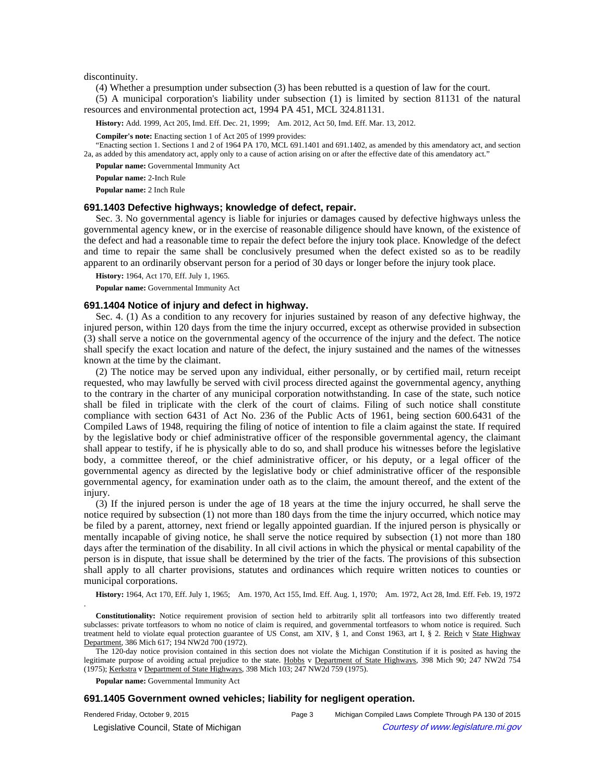discontinuity.

(4) Whether a presumption under subsection (3) has been rebutted is a question of law for the court.

(5) A municipal corporation's liability under subsection (1) is limited by section 81131 of the natural resources and environmental protection act, 1994 PA 451, MCL 324.81131.

History: Add. 1999, Act 205, Imd. Eff. Dec. 21, 1999;—Am. 2012, Act 50, Imd. Eff. Mar. 13, 2012.

**Compiler's note:** Enacting section 1 of Act 205 of 1999 provides:

"Enacting section 1. Sections 1 and 2 of 1964 PA 170, MCL 691.1401 and 691.1402, as amended by this amendatory act, and section 2a, as added by this amendatory act, apply only to a cause of action arising on or after the effective date of this amendatory act."

**Popular name:** Governmental Immunity Act

**Popular name:** 2-Inch Rule

**Popular name:** 2 Inch Rule

#### **691.1403 Defective highways; knowledge of defect, repair.**

Sec. 3. No governmental agency is liable for injuries or damages caused by defective highways unless the governmental agency knew, or in the exercise of reasonable diligence should have known, of the existence of the defect and had a reasonable time to repair the defect before the injury took place. Knowledge of the defect and time to repair the same shall be conclusively presumed when the defect existed so as to be readily apparent to an ordinarily observant person for a period of 30 days or longer before the injury took place.

**History:** 1964, Act 170, Eff. July 1, 1965.

**Popular name:** Governmental Immunity Act

## **691.1404 Notice of injury and defect in highway.**

Sec. 4. (1) As a condition to any recovery for injuries sustained by reason of any defective highway, the injured person, within 120 days from the time the injury occurred, except as otherwise provided in subsection (3) shall serve a notice on the governmental agency of the occurrence of the injury and the defect. The notice shall specify the exact location and nature of the defect, the injury sustained and the names of the witnesses known at the time by the claimant.

(2) The notice may be served upon any individual, either personally, or by certified mail, return receipt requested, who may lawfully be served with civil process directed against the governmental agency, anything to the contrary in the charter of any municipal corporation notwithstanding. In case of the state, such notice shall be filed in triplicate with the clerk of the court of claims. Filing of such notice shall constitute compliance with section 6431 of Act No. 236 of the Public Acts of 1961, being section 600.6431 of the Compiled Laws of 1948, requiring the filing of notice of intention to file a claim against the state. If required by the legislative body or chief administrative officer of the responsible governmental agency, the claimant shall appear to testify, if he is physically able to do so, and shall produce his witnesses before the legislative body, a committee thereof, or the chief administrative officer, or his deputy, or a legal officer of the governmental agency as directed by the legislative body or chief administrative officer of the responsible governmental agency, for examination under oath as to the claim, the amount thereof, and the extent of the injury.

(3) If the injured person is under the age of 18 years at the time the injury occurred, he shall serve the notice required by subsection (1) not more than 180 days from the time the injury occurred, which notice may be filed by a parent, attorney, next friend or legally appointed guardian. If the injured person is physically or mentally incapable of giving notice, he shall serve the notice required by subsection (1) not more than 180 days after the termination of the disability. In all civil actions in which the physical or mental capability of the person is in dispute, that issue shall be determined by the trier of the facts. The provisions of this subsection shall apply to all charter provisions, statutes and ordinances which require written notices to counties or municipal corporations.

History: 1964, Act 170, Eff. July 1, 1965;—Am. 1970, Act 155, Imd. Eff. Aug. 1, 1970;—Am. 1972, Act 28, Imd. Eff. Feb. 19, 1972

**Constitutionality:** Notice requirement provision of section held to arbitrarily split all tortfeasors into two differently treated subclasses: private tortfeasors to whom no notice of claim is required, and governmental tortfeasors to whom notice is required. Such treatment held to violate equal protection guarantee of US Const, am XIV, § 1, and Const 1963, art I, § 2. Reich v State Highway Department, 386 Mich 617; 194 NW2d 700 (1972).

The 120-day notice provision contained in this section does not violate the Michigan Constitution if it is posited as having the legitimate purpose of avoiding actual prejudice to the state. Hobbs v Department of State Highways, 398 Mich 90; 247 NW2d 754 (1975); Kerkstra v Department of State Highways, 398 Mich 103; 247 NW2d 759 (1975).

**Popular name:** Governmental Immunity Act

.

### **691.1405 Government owned vehicles; liability for negligent operation.**

Rendered Friday, October 9, 2015 Page 3 Michigan Compiled Laws Complete Through PA 130 of 2015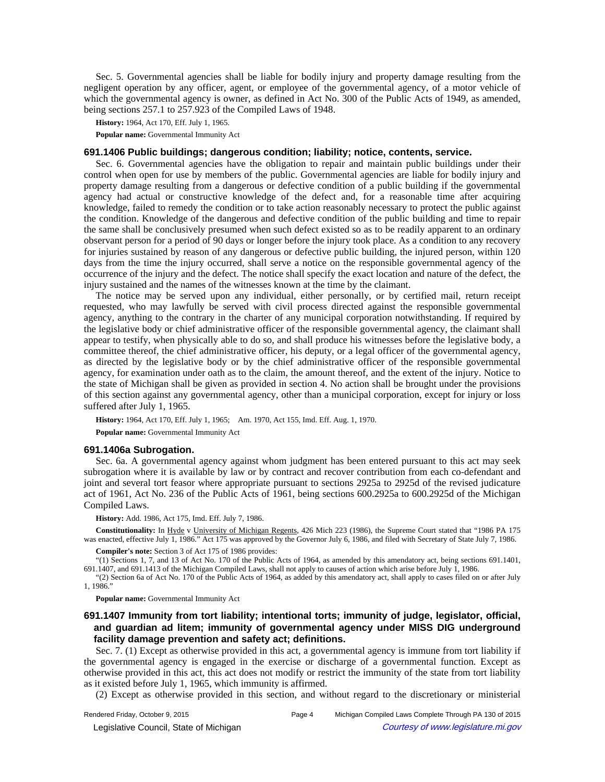Sec. 5. Governmental agencies shall be liable for bodily injury and property damage resulting from the negligent operation by any officer, agent, or employee of the governmental agency, of a motor vehicle of which the governmental agency is owner, as defined in Act No. 300 of the Public Acts of 1949, as amended, being sections 257.1 to 257.923 of the Compiled Laws of 1948.

**History:** 1964, Act 170, Eff. July 1, 1965.

**Popular name:** Governmental Immunity Act

## **691.1406 Public buildings; dangerous condition; liability; notice, contents, service.**

Sec. 6. Governmental agencies have the obligation to repair and maintain public buildings under their control when open for use by members of the public. Governmental agencies are liable for bodily injury and property damage resulting from a dangerous or defective condition of a public building if the governmental agency had actual or constructive knowledge of the defect and, for a reasonable time after acquiring knowledge, failed to remedy the condition or to take action reasonably necessary to protect the public against the condition. Knowledge of the dangerous and defective condition of the public building and time to repair the same shall be conclusively presumed when such defect existed so as to be readily apparent to an ordinary observant person for a period of 90 days or longer before the injury took place. As a condition to any recovery for injuries sustained by reason of any dangerous or defective public building, the injured person, within 120 days from the time the injury occurred, shall serve a notice on the responsible governmental agency of the occurrence of the injury and the defect. The notice shall specify the exact location and nature of the defect, the injury sustained and the names of the witnesses known at the time by the claimant.

The notice may be served upon any individual, either personally, or by certified mail, return receipt requested, who may lawfully be served with civil process directed against the responsible governmental agency, anything to the contrary in the charter of any municipal corporation notwithstanding. If required by the legislative body or chief administrative officer of the responsible governmental agency, the claimant shall appear to testify, when physically able to do so, and shall produce his witnesses before the legislative body, a committee thereof, the chief administrative officer, his deputy, or a legal officer of the governmental agency, as directed by the legislative body or by the chief administrative officer of the responsible governmental agency, for examination under oath as to the claim, the amount thereof, and the extent of the injury. Notice to the state of Michigan shall be given as provided in section 4. No action shall be brought under the provisions of this section against any governmental agency, other than a municipal corporation, except for injury or loss suffered after July 1, 1965.

**History:** 1964, Act 170, Eff. July 1, 1965;—Am. 1970, Act 155, Imd. Eff. Aug. 1, 1970.

**Popular name:** Governmental Immunity Act

#### **691.1406a Subrogation.**

Sec. 6a. A governmental agency against whom judgment has been entered pursuant to this act may seek subrogation where it is available by law or by contract and recover contribution from each co-defendant and joint and several tort feasor where appropriate pursuant to sections 2925a to 2925d of the revised judicature act of 1961, Act No. 236 of the Public Acts of 1961, being sections 600.2925a to 600.2925d of the Michigan Compiled Laws.

**History:** Add. 1986, Act 175, Imd. Eff. July 7, 1986.

**Constitutionality:** In Hyde v University of Michigan Regents, 426 Mich 223 (1986), the Supreme Court stated that "1986 PA 175 was enacted, effective July 1, 1986." Act 175 was approved by the Governor July 6, 1986, and filed with Secretary of State July 7, 1986.

**Compiler's note:** Section 3 of Act 175 of 1986 provides:

"(1) Sections 1, 7, and 13 of Act No. 170 of the Public Acts of 1964, as amended by this amendatory act, being sections 691.1401, 691.1407, and 691.1413 of the Michigan Compiled Laws, shall not apply to causes of action which arise before July 1, 1986.

"(2) Section 6a of Act No. 170 of the Public Acts of 1964, as added by this amendatory act, shall apply to cases filed on or after July 1, 1986."

**Popular name:** Governmental Immunity Act

# **691.1407 Immunity from tort liability; intentional torts; immunity of judge, legislator, official, and guardian ad litem; immunity of governmental agency under MISS DIG underground facility damage prevention and safety act; definitions.**

Sec. 7. (1) Except as otherwise provided in this act, a governmental agency is immune from tort liability if the governmental agency is engaged in the exercise or discharge of a governmental function. Except as otherwise provided in this act, this act does not modify or restrict the immunity of the state from tort liability as it existed before July 1, 1965, which immunity is affirmed.

(2) Except as otherwise provided in this section, and without regard to the discretionary or ministerial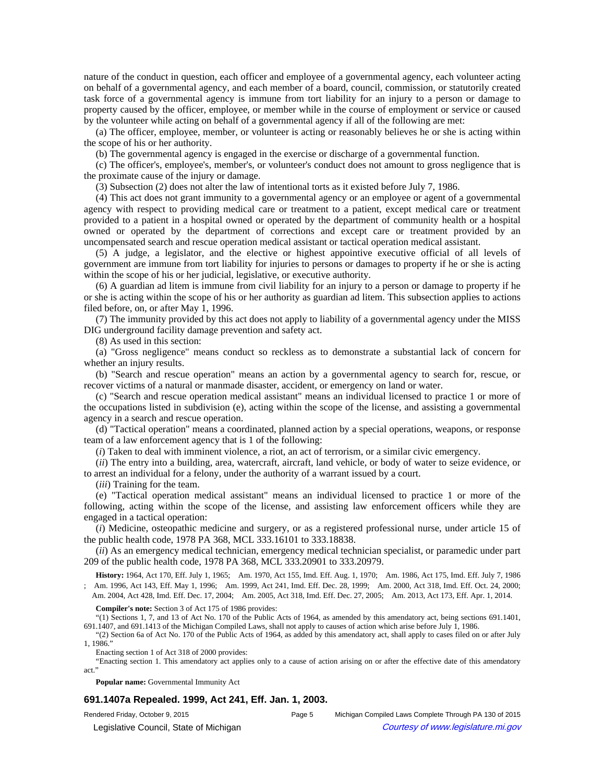nature of the conduct in question, each officer and employee of a governmental agency, each volunteer acting on behalf of a governmental agency, and each member of a board, council, commission, or statutorily created task force of a governmental agency is immune from tort liability for an injury to a person or damage to property caused by the officer, employee, or member while in the course of employment or service or caused by the volunteer while acting on behalf of a governmental agency if all of the following are met:

(a) The officer, employee, member, or volunteer is acting or reasonably believes he or she is acting within the scope of his or her authority.

(b) The governmental agency is engaged in the exercise or discharge of a governmental function.

(c) The officer's, employee's, member's, or volunteer's conduct does not amount to gross negligence that is the proximate cause of the injury or damage.

(3) Subsection (2) does not alter the law of intentional torts as it existed before July 7, 1986.

(4) This act does not grant immunity to a governmental agency or an employee or agent of a governmental agency with respect to providing medical care or treatment to a patient, except medical care or treatment provided to a patient in a hospital owned or operated by the department of community health or a hospital owned or operated by the department of corrections and except care or treatment provided by an uncompensated search and rescue operation medical assistant or tactical operation medical assistant.

(5) A judge, a legislator, and the elective or highest appointive executive official of all levels of government are immune from tort liability for injuries to persons or damages to property if he or she is acting within the scope of his or her judicial, legislative, or executive authority.

(6) A guardian ad litem is immune from civil liability for an injury to a person or damage to property if he or she is acting within the scope of his or her authority as guardian ad litem. This subsection applies to actions filed before, on, or after May 1, 1996.

(7) The immunity provided by this act does not apply to liability of a governmental agency under the MISS DIG underground facility damage prevention and safety act.

(8) As used in this section:

(a) "Gross negligence" means conduct so reckless as to demonstrate a substantial lack of concern for whether an injury results.

(b) "Search and rescue operation" means an action by a governmental agency to search for, rescue, or recover victims of a natural or manmade disaster, accident, or emergency on land or water.

(c) "Search and rescue operation medical assistant" means an individual licensed to practice 1 or more of the occupations listed in subdivision (e), acting within the scope of the license, and assisting a governmental agency in a search and rescue operation.

(d) "Tactical operation" means a coordinated, planned action by a special operations, weapons, or response team of a law enforcement agency that is 1 of the following:

(*i*) Taken to deal with imminent violence, a riot, an act of terrorism, or a similar civic emergency.

(*ii*) The entry into a building, area, watercraft, aircraft, land vehicle, or body of water to seize evidence, or to arrest an individual for a felony, under the authority of a warrant issued by a court.

(*iii*) Training for the team.

(e) "Tactical operation medical assistant" means an individual licensed to practice 1 or more of the following, acting within the scope of the license, and assisting law enforcement officers while they are engaged in a tactical operation:

(*i*) Medicine, osteopathic medicine and surgery, or as a registered professional nurse, under article 15 of the public health code, 1978 PA 368, MCL 333.16101 to 333.18838.

(*ii*) As an emergency medical technician, emergency medical technician specialist, or paramedic under part 209 of the public health code, 1978 PA 368, MCL 333.20901 to 333.20979.

History: 1964, Act 170, Eff. July 1, 1965;—Am. 1970, Act 155, Imd. Eff. Aug. 1, 1970;—Am. 1986, Act 175, Imd. Eff. July 7, 1986 ;-Am. 1996, Act 143, Eff. May 1, 1996;-Am. 1999, Act 241, Imd. Eff. Dec. 28, 1999;-Am. 2000, Act 318, Imd. Eff. Oct. 24, 2000;

-Am. 2004, Act 428, Imd. Eff. Dec. 17, 2004;--Am. 2005, Act 318, Imd. Eff. Dec. 27, 2005;--Am. 2013, Act 173, Eff. Apr. 1, 2014.

**Compiler's note:** Section 3 of Act 175 of 1986 provides:

"(1) Sections 1, 7, and 13 of Act No. 170 of the Public Acts of 1964, as amended by this amendatory act, being sections 691.1401, 691.1407, and 691.1413 of the Michigan Compiled Laws, shall not apply to causes of action which arise before July 1, 1986.

"(2) Section 6a of Act No. 170 of the Public Acts of 1964, as added by this amendatory act, shall apply to cases filed on or after July 1, 1986."

Enacting section 1 of Act 318 of 2000 provides:

"Enacting section 1. This amendatory act applies only to a cause of action arising on or after the effective date of this amendatory act."

**Popular name:** Governmental Immunity Act

## **691.1407a Repealed. 1999, Act 241, Eff. Jan. 1, 2003.**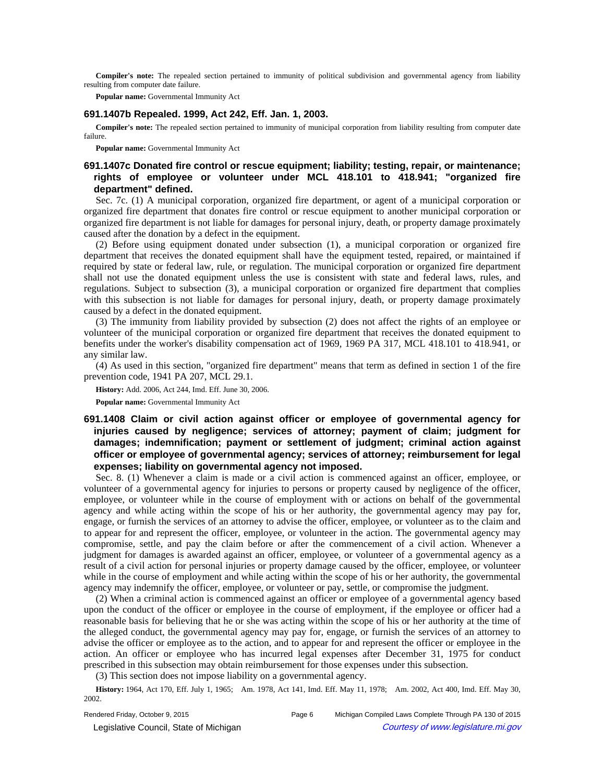**Compiler's note:** The repealed section pertained to immunity of political subdivision and governmental agency from liability resulting from computer date failure.

**Popular name:** Governmental Immunity Act

## **691.1407b Repealed. 1999, Act 242, Eff. Jan. 1, 2003.**

**Compiler's note:** The repealed section pertained to immunity of municipal corporation from liability resulting from computer date failure.

**Popular name:** Governmental Immunity Act

# **691.1407c Donated fire control or rescue equipment; liability; testing, repair, or maintenance; rights of employee or volunteer under MCL 418.101 to 418.941; "organized fire department" defined.**

Sec. 7c. (1) A municipal corporation, organized fire department, or agent of a municipal corporation or organized fire department that donates fire control or rescue equipment to another municipal corporation or organized fire department is not liable for damages for personal injury, death, or property damage proximately caused after the donation by a defect in the equipment.

(2) Before using equipment donated under subsection (1), a municipal corporation or organized fire department that receives the donated equipment shall have the equipment tested, repaired, or maintained if required by state or federal law, rule, or regulation. The municipal corporation or organized fire department shall not use the donated equipment unless the use is consistent with state and federal laws, rules, and regulations. Subject to subsection (3), a municipal corporation or organized fire department that complies with this subsection is not liable for damages for personal injury, death, or property damage proximately caused by a defect in the donated equipment.

(3) The immunity from liability provided by subsection (2) does not affect the rights of an employee or volunteer of the municipal corporation or organized fire department that receives the donated equipment to benefits under the worker's disability compensation act of 1969, 1969 PA 317, MCL 418.101 to 418.941, or any similar law.

(4) As used in this section, "organized fire department" means that term as defined in section 1 of the fire prevention code, 1941 PA 207, MCL 29.1.

**History:** Add. 2006, Act 244, Imd. Eff. June 30, 2006.

**Popular name:** Governmental Immunity Act

# **691.1408 Claim or civil action against officer or employee of governmental agency for injuries caused by negligence; services of attorney; payment of claim; judgment for damages; indemnification; payment or settlement of judgment; criminal action against officer or employee of governmental agency; services of attorney; reimbursement for legal expenses; liability on governmental agency not imposed.**

Sec. 8. (1) Whenever a claim is made or a civil action is commenced against an officer, employee, or volunteer of a governmental agency for injuries to persons or property caused by negligence of the officer, employee, or volunteer while in the course of employment with or actions on behalf of the governmental agency and while acting within the scope of his or her authority, the governmental agency may pay for, engage, or furnish the services of an attorney to advise the officer, employee, or volunteer as to the claim and to appear for and represent the officer, employee, or volunteer in the action. The governmental agency may compromise, settle, and pay the claim before or after the commencement of a civil action. Whenever a judgment for damages is awarded against an officer, employee, or volunteer of a governmental agency as a result of a civil action for personal injuries or property damage caused by the officer, employee, or volunteer while in the course of employment and while acting within the scope of his or her authority, the governmental agency may indemnify the officer, employee, or volunteer or pay, settle, or compromise the judgment.

(2) When a criminal action is commenced against an officer or employee of a governmental agency based upon the conduct of the officer or employee in the course of employment, if the employee or officer had a reasonable basis for believing that he or she was acting within the scope of his or her authority at the time of the alleged conduct, the governmental agency may pay for, engage, or furnish the services of an attorney to advise the officer or employee as to the action, and to appear for and represent the officer or employee in the action. An officer or employee who has incurred legal expenses after December 31, 1975 for conduct prescribed in this subsection may obtain reimbursement for those expenses under this subsection.

(3) This section does not impose liability on a governmental agency.

History: 1964, Act 170, Eff. July 1, 1965;-Am. 1978, Act 141, Imd. Eff. May 11, 1978;-Am. 2002, Act 400, Imd. Eff. May 30, 2002.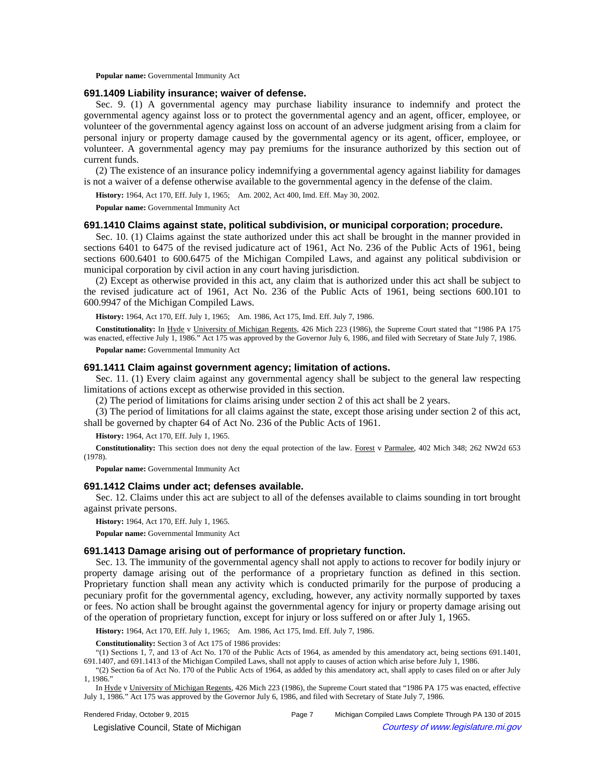**Popular name:** Governmental Immunity Act

## **691.1409 Liability insurance; waiver of defense.**

Sec. 9. (1) A governmental agency may purchase liability insurance to indemnify and protect the governmental agency against loss or to protect the governmental agency and an agent, officer, employee, or volunteer of the governmental agency against loss on account of an adverse judgment arising from a claim for personal injury or property damage caused by the governmental agency or its agent, officer, employee, or volunteer. A governmental agency may pay premiums for the insurance authorized by this section out of current funds.

(2) The existence of an insurance policy indemnifying a governmental agency against liability for damages is not a waiver of a defense otherwise available to the governmental agency in the defense of the claim.

History: 1964, Act 170, Eff. July 1, 1965;-Am. 2002, Act 400, Imd. Eff. May 30, 2002.

**Popular name:** Governmental Immunity Act

## **691.1410 Claims against state, political subdivision, or municipal corporation; procedure.**

Sec. 10. (1) Claims against the state authorized under this act shall be brought in the manner provided in sections 6401 to 6475 of the revised judicature act of 1961, Act No. 236 of the Public Acts of 1961, being sections 600.6401 to 600.6475 of the Michigan Compiled Laws, and against any political subdivision or municipal corporation by civil action in any court having jurisdiction.

(2) Except as otherwise provided in this act, any claim that is authorized under this act shall be subject to the revised judicature act of 1961, Act No. 236 of the Public Acts of 1961, being sections 600.101 to 600.9947 of the Michigan Compiled Laws.

History: 1964, Act 170, Eff. July 1, 1965;-Am. 1986, Act 175, Imd. Eff. July 7, 1986.

**Constitutionality:** In Hyde v University of Michigan Regents, 426 Mich 223 (1986), the Supreme Court stated that "1986 PA 175 was enacted, effective July 1, 1986." Act 175 was approved by the Governor July 6, 1986, and filed with Secretary of State July 7, 1986.

**Popular name:** Governmental Immunity Act

#### **691.1411 Claim against government agency; limitation of actions.**

Sec. 11. (1) Every claim against any governmental agency shall be subject to the general law respecting limitations of actions except as otherwise provided in this section.

(2) The period of limitations for claims arising under section 2 of this act shall be 2 years.

(3) The period of limitations for all claims against the state, except those arising under section 2 of this act, shall be governed by chapter 64 of Act No. 236 of the Public Acts of 1961.

**History:** 1964, Act 170, Eff. July 1, 1965.

**Constitutionality:** This section does not deny the equal protection of the law. Forest v Parmalee, 402 Mich 348; 262 NW2d 653 (1978).

**Popular name:** Governmental Immunity Act

#### **691.1412 Claims under act; defenses available.**

Sec. 12. Claims under this act are subject to all of the defenses available to claims sounding in tort brought against private persons.

**History:** 1964, Act 170, Eff. July 1, 1965.

**Popular name:** Governmental Immunity Act

## **691.1413 Damage arising out of performance of proprietary function.**

Sec. 13. The immunity of the governmental agency shall not apply to actions to recover for bodily injury or property damage arising out of the performance of a proprietary function as defined in this section. Proprietary function shall mean any activity which is conducted primarily for the purpose of producing a pecuniary profit for the governmental agency, excluding, however, any activity normally supported by taxes or fees. No action shall be brought against the governmental agency for injury or property damage arising out of the operation of proprietary function, except for injury or loss suffered on or after July 1, 1965.

History: 1964, Act 170, Eff. July 1, 1965;-Am. 1986, Act 175, Imd. Eff. July 7, 1986.

**Constitutionality:** Section 3 of Act 175 of 1986 provides:

"(1) Sections 1, 7, and 13 of Act No. 170 of the Public Acts of 1964, as amended by this amendatory act, being sections 691.1401, 691.1407, and 691.1413 of the Michigan Compiled Laws, shall not apply to causes of action which arise before July 1, 1986.

"(2) Section 6a of Act No. 170 of the Public Acts of 1964, as added by this amendatory act, shall apply to cases filed on or after July  $1, 1986$ 

In Hyde v University of Michigan Regents, 426 Mich 223 (1986), the Supreme Court stated that "1986 PA 175 was enacted, effective July 1, 1986." Act 175 was approved by the Governor July 6, 1986, and filed with Secretary of State July 7, 1986.

Rendered Friday, October 9, 2015 Page 7 Michigan Compiled Laws Complete Through PA 130 of 2015 © Legislative Council, State of Michigan Council Courtesy of www.legislature.mi.gov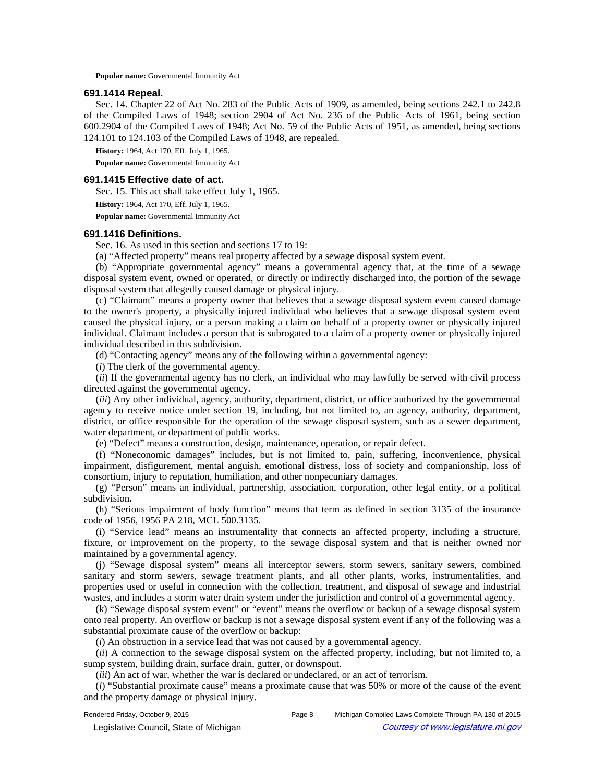**Popular name:** Governmental Immunity Act

## **691.1414 Repeal.**

Sec. 14. Chapter 22 of Act No. 283 of the Public Acts of 1909, as amended, being sections 242.1 to 242.8 of the Compiled Laws of 1948; section 2904 of Act No. 236 of the Public Acts of 1961, being section 600.2904 of the Compiled Laws of 1948; Act No. 59 of the Public Acts of 1951, as amended, being sections 124.101 to 124.103 of the Compiled Laws of 1948, are repealed.

**History:** 1964, Act 170, Eff. July 1, 1965.

**Popular name:** Governmental Immunity Act

## **691.1415 Effective date of act.**

Sec. 15. This act shall take effect July 1, 1965.

**History:** 1964, Act 170, Eff. July 1, 1965.

**Popular name:** Governmental Immunity Act

### **691.1416 Definitions.**

Sec. 16. As used in this section and sections 17 to 19:

(a) "Affected property" means real property affected by a sewage disposal system event.

(b) "Appropriate governmental agency" means a governmental agency that, at the time of a sewage disposal system event, owned or operated, or directly or indirectly discharged into, the portion of the sewage disposal system that allegedly caused damage or physical injury.

(c) "Claimant" means a property owner that believes that a sewage disposal system event caused damage to the owner's property, a physically injured individual who believes that a sewage disposal system event caused the physical injury, or a person making a claim on behalf of a property owner or physically injured individual. Claimant includes a person that is subrogated to a claim of a property owner or physically injured individual described in this subdivision.

(d) "Contacting agency" means any of the following within a governmental agency:

(*i*) The clerk of the governmental agency.

(*ii*) If the governmental agency has no clerk, an individual who may lawfully be served with civil process directed against the governmental agency.

(*iii*) Any other individual, agency, authority, department, district, or office authorized by the governmental agency to receive notice under section 19, including, but not limited to, an agency, authority, department, district, or office responsible for the operation of the sewage disposal system, such as a sewer department, water department, or department of public works.

(e) "Defect" means a construction, design, maintenance, operation, or repair defect.

(f) "Noneconomic damages" includes, but is not limited to, pain, suffering, inconvenience, physical impairment, disfigurement, mental anguish, emotional distress, loss of society and companionship, loss of consortium, injury to reputation, humiliation, and other nonpecuniary damages.

(g) "Person" means an individual, partnership, association, corporation, other legal entity, or a political subdivision.

(h) "Serious impairment of body function" means that term as defined in section 3135 of the insurance code of 1956, 1956 PA 218, MCL 500.3135.

(i) "Service lead" means an instrumentality that connects an affected property, including a structure, fixture, or improvement on the property, to the sewage disposal system and that is neither owned nor maintained by a governmental agency.

(j) "Sewage disposal system" means all interceptor sewers, storm sewers, sanitary sewers, combined sanitary and storm sewers, sewage treatment plants, and all other plants, works, instrumentalities, and properties used or useful in connection with the collection, treatment, and disposal of sewage and industrial wastes, and includes a storm water drain system under the jurisdiction and control of a governmental agency.

(k) "Sewage disposal system event" or "event" means the overflow or backup of a sewage disposal system onto real property. An overflow or backup is not a sewage disposal system event if any of the following was a substantial proximate cause of the overflow or backup:

(*i*) An obstruction in a service lead that was not caused by a governmental agency.

(*ii*) A connection to the sewage disposal system on the affected property, including, but not limited to, a sump system, building drain, surface drain, gutter, or downspout.

(*iii*) An act of war, whether the war is declared or undeclared, or an act of terrorism.

(*l*) "Substantial proximate cause" means a proximate cause that was 50% or more of the cause of the event and the property damage or physical injury.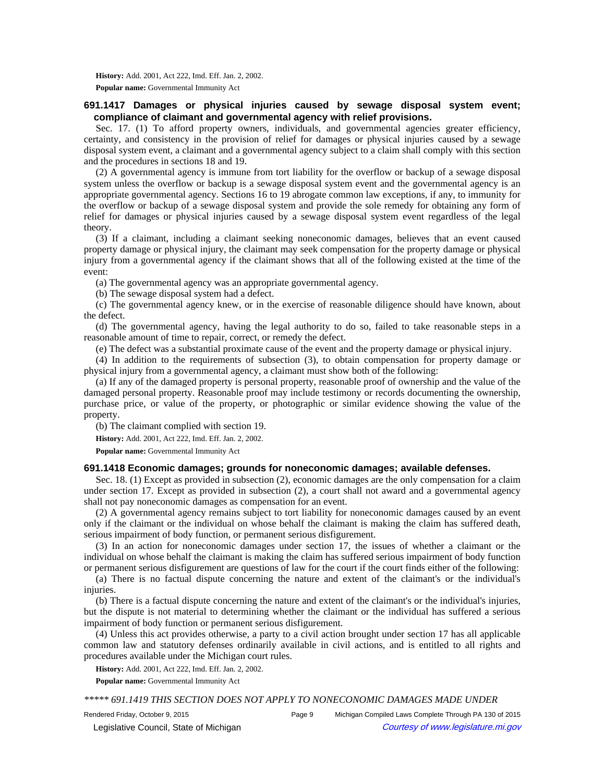**History:** Add. 2001, Act 222, Imd. Eff. Jan. 2, 2002. **Popular name:** Governmental Immunity Act

# **691.1417 Damages or physical injuries caused by sewage disposal system event; compliance of claimant and governmental agency with relief provisions.**

Sec. 17. (1) To afford property owners, individuals, and governmental agencies greater efficiency, certainty, and consistency in the provision of relief for damages or physical injuries caused by a sewage disposal system event, a claimant and a governmental agency subject to a claim shall comply with this section and the procedures in sections 18 and 19.

(2) A governmental agency is immune from tort liability for the overflow or backup of a sewage disposal system unless the overflow or backup is a sewage disposal system event and the governmental agency is an appropriate governmental agency. Sections 16 to 19 abrogate common law exceptions, if any, to immunity for the overflow or backup of a sewage disposal system and provide the sole remedy for obtaining any form of relief for damages or physical injuries caused by a sewage disposal system event regardless of the legal theory.

(3) If a claimant, including a claimant seeking noneconomic damages, believes that an event caused property damage or physical injury, the claimant may seek compensation for the property damage or physical injury from a governmental agency if the claimant shows that all of the following existed at the time of the event:

(a) The governmental agency was an appropriate governmental agency.

(b) The sewage disposal system had a defect.

(c) The governmental agency knew, or in the exercise of reasonable diligence should have known, about the defect.

(d) The governmental agency, having the legal authority to do so, failed to take reasonable steps in a reasonable amount of time to repair, correct, or remedy the defect.

(e) The defect was a substantial proximate cause of the event and the property damage or physical injury.

(4) In addition to the requirements of subsection (3), to obtain compensation for property damage or physical injury from a governmental agency, a claimant must show both of the following:

(a) If any of the damaged property is personal property, reasonable proof of ownership and the value of the damaged personal property. Reasonable proof may include testimony or records documenting the ownership, purchase price, or value of the property, or photographic or similar evidence showing the value of the property.

(b) The claimant complied with section 19.

**History:** Add. 2001, Act 222, Imd. Eff. Jan. 2, 2002.

**Popular name:** Governmental Immunity Act

## **691.1418 Economic damages; grounds for noneconomic damages; available defenses.**

Sec. 18. (1) Except as provided in subsection (2), economic damages are the only compensation for a claim under section 17. Except as provided in subsection (2), a court shall not award and a governmental agency shall not pay noneconomic damages as compensation for an event.

(2) A governmental agency remains subject to tort liability for noneconomic damages caused by an event only if the claimant or the individual on whose behalf the claimant is making the claim has suffered death, serious impairment of body function, or permanent serious disfigurement.

(3) In an action for noneconomic damages under section 17, the issues of whether a claimant or the individual on whose behalf the claimant is making the claim has suffered serious impairment of body function or permanent serious disfigurement are questions of law for the court if the court finds either of the following:

(a) There is no factual dispute concerning the nature and extent of the claimant's or the individual's injuries.

(b) There is a factual dispute concerning the nature and extent of the claimant's or the individual's injuries, but the dispute is not material to determining whether the claimant or the individual has suffered a serious impairment of body function or permanent serious disfigurement.

(4) Unless this act provides otherwise, a party to a civil action brought under section 17 has all applicable common law and statutory defenses ordinarily available in civil actions, and is entitled to all rights and procedures available under the Michigan court rules.

**History:** Add. 2001, Act 222, Imd. Eff. Jan. 2, 2002.

**Popular name:** Governmental Immunity Act

*\*\*\*\*\* 691.1419 THIS SECTION DOES NOT APPLY TO NONECONOMIC DAMAGES MADE UNDER* 

© Legislative Council, State of Michigan Council Courtesy of www.legislature.mi.gov

Rendered Friday, October 9, 2015 Page 9 Michigan Compiled Laws Complete Through PA 130 of 2015